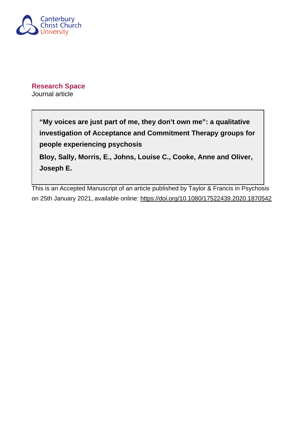

**Research Space** Journal article

> **"My voices are just part of me, they don't own me": a qualitative investigation of Acceptance and Commitment Therapy groups for people experiencing psychosis Bloy, Sally, Morris, E., Johns, Louise C., Cooke, Anne and Oliver, Joseph E.**

This is an Accepted Manuscript of an article published by Taylor & Francis in Psychosis on 25th January 2021, available online:<https://doi.org/10.1080/17522439.2020.1870542>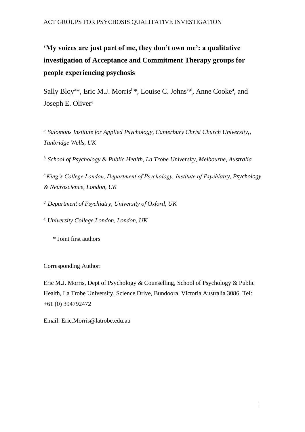**'My voices are just part of me, they don't own me': a qualitative investigation of Acceptance and Commitment Therapy groups for people experiencing psychosis** 

Sally Bloy<sup>a\*</sup>, Eric M.J. Morris<sup>b\*</sup>, Louise C. Johns<sup>c,d</sup>, Anne Cooke<sup>a</sup>, and Joseph E. Oliver<sup>e</sup>

<sup>a</sup> Salomons Institute for Applied Psychology, Canterbury Christ Church University,, *Tunbridge Wells, UK* 

*b School of Psychology & Public Health, La Trobe University, Melbourne, Australia*

*<sup>c</sup>King's College London, Department of Psychology, Institute of Psychiatry, Psychology & Neuroscience, London, UK* 

*<sup>d</sup>Department of Psychiatry, University of Oxford, UK*

*<sup>e</sup>University College London, London, UK* 

\* Joint first authors

Corresponding Author:

Eric M.J. Morris, Dept of Psychology & Counselling, School of Psychology & Public Health, La Trobe University, Science Drive, Bundoora, Victoria Australia 3086. Tel: +61 (0) 394792472

Email: Eric.Morris@latrobe.edu.au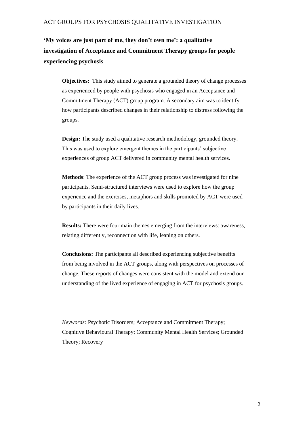# **'My voices are just part of me, they don't own me': a qualitative investigation of Acceptance and Commitment Therapy groups for people experiencing psychosis**

**Objectives:** This study aimed to generate a grounded theory of change processes as experienced by people with psychosis who engaged in an Acceptance and Commitment Therapy (ACT) group program. A secondary aim was to identify how participants described changes in their relationship to distress following the groups.

**Design:** The study used a qualitative research methodology, grounded theory. This was used to explore emergent themes in the participants' subjective experiences of group ACT delivered in community mental health services.

**Methods**: The experience of the ACT group process was investigated for nine participants. Semi-structured interviews were used to explore how the group experience and the exercises, metaphors and skills promoted by ACT were used by participants in their daily lives.

**Results:** There were four main themes emerging from the interviews: awareness, relating differently, reconnection with life, leaning on others.

**Conclusions:** The participants all described experiencing subjective benefits from being involved in the ACT groups, along with perspectives on processes of change. These reports of changes were consistent with the model and extend our understanding of the lived experience of engaging in ACT for psychosis groups.

*Keywords:* Psychotic Disorders; Acceptance and Commitment Therapy; Cognitive Behavioural Therapy; Community Mental Health Services; Grounded Theory; Recovery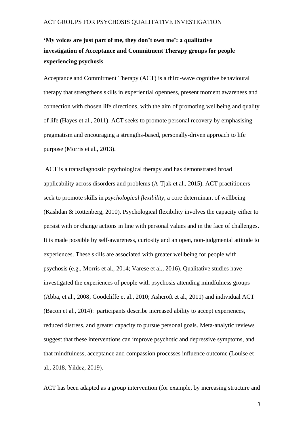# **'My voices are just part of me, they don't own me': a qualitative investigation of Acceptance and Commitment Therapy groups for people experiencing psychosis**

Acceptance and Commitment Therapy (ACT) is a third-wave cognitive behavioural therapy that strengthens skills in experiential openness, present moment awareness and connection with chosen life directions, with the aim of promoting wellbeing and quality of life (Hayes et al., 2011). ACT seeks to promote personal recovery by emphasising pragmatism and encouraging a strengths-based, personally-driven approach to life purpose (Morris et al., 2013).

ACT is a transdiagnostic psychological therapy and has demonstrated broad applicability across disorders and problems (A-Tjak et al., 2015). ACT practitioners seek to promote skills in *psychological flexibility*, a core determinant of wellbeing (Kashdan & Rottenberg, 2010). Psychological flexibility involves the capacity either to persist with or change actions in line with personal values and in the face of challenges. It is made possible by self-awareness, curiosity and an open, non-judgmental attitude to experiences. These skills are associated with greater wellbeing for people with psychosis (e.g., Morris et al., 2014; Varese et al., 2016). Qualitative studies have investigated the experiences of people with psychosis attending mindfulness groups (Abba, et al., 2008; Goodcliffe et al., 2010; Ashcroft et al., 2011) and individual ACT (Bacon et al., 2014): participants describe increased ability to accept experiences, reduced distress, and greater capacity to pursue personal goals. Meta-analytic reviews suggest that these interventions can improve psychotic and depressive symptoms, and that mindfulness, acceptance and compassion processes influence outcome (Louise et al., 2018, Yildez, 2019).

ACT has been adapted as a group intervention (for example, by increasing structure and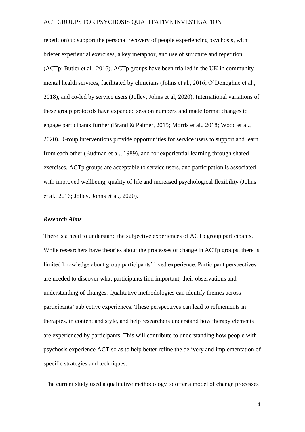repetition) to support the personal recovery of people experiencing psychosis, with briefer experiential exercises, a key metaphor, and use of structure and repetition (ACTp; Butler et al., 2016). ACTp groups have been trialled in the UK in community mental health services, facilitated by clinicians (Johns et al., 2016; O'Donoghue et al., 2018), and co-led by service users (Jolley, Johns et al, 2020). International variations of these group protocols have expanded session numbers and made format changes to engage participants further (Brand & Palmer, 2015; Morris et al., 2018; Wood et al., 2020). Group interventions provide opportunities for service users to support and learn from each other (Budman et al., 1989), and for experiential learning through shared exercises. ACTp groups are acceptable to service users, and participation is associated with improved wellbeing, quality of life and increased psychological flexibility (Johns et al., 2016; Jolley, Johns et al., 2020).

#### *Research Aims*

There is a need to understand the subjective experiences of ACTp group participants. While researchers have theories about the processes of change in ACTp groups, there is limited knowledge about group participants' lived experience. Participant perspectives are needed to discover what participants find important, their observations and understanding of changes. Qualitative methodologies can identify themes across participants' subjective experiences. These perspectives can lead to refinements in therapies, in content and style, and help researchers understand how therapy elements are experienced by participants. This will contribute to understanding how people with psychosis experience ACT so as to help better refine the delivery and implementation of specific strategies and techniques.

The current study used a qualitative methodology to offer a model of change processes

4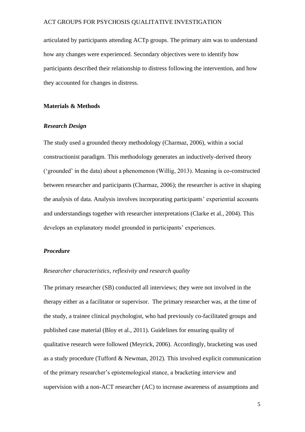articulated by participants attending ACTp groups. The primary aim was to understand how any changes were experienced. Secondary objectives were to identify how participants described their relationship to distress following the intervention, and how they accounted for changes in distress.

#### **Materials & Methods**

## *Research Design*

The study used a grounded theory methodology (Charmaz, 2006), within a social constructionist paradigm. This methodology generates an inductively-derived theory ('grounded' in the data) about a phenomenon (Willig, 2013). Meaning is co-constructed between researcher and participants (Charmaz, 2006); the researcher is active in shaping the analysis of data. Analysis involves incorporating participants' experiential accounts and understandings together with researcher interpretations (Clarke et al., 2004). This develops an explanatory model grounded in participants' experiences.

## *Procedure*

#### *Researcher characteristics, reflexivity and research quality*

The primary researcher (SB) conducted all interviews; they were not involved in the therapy either as a facilitator or supervisor. The primary researcher was, at the time of the study, a trainee clinical psychologist, who had previously co-facilitated groups and published case material (Bloy et al., 2011). Guidelines for ensuring quality of qualitative research were followed (Meyrick, 2006). Accordingly, bracketing was used as a study procedure (Tufford & Newman, 2012). This involved explicit communication of the primary researcher's epistemological stance, a bracketing interview and supervision with a non-ACT researcher (AC) to increase awareness of assumptions and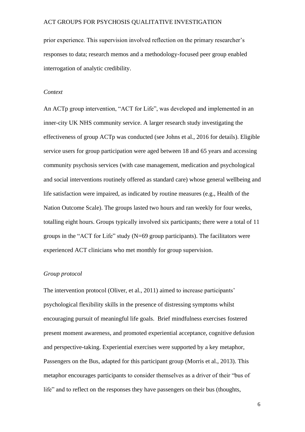prior experience. This supervision involved reflection on the primary researcher's responses to data; research memos and a methodology-focused peer group enabled interrogation of analytic credibility.

#### *Context*

An ACTp group intervention, "ACT for Life", was developed and implemented in an inner-city UK NHS community service. A larger research study investigating the effectiveness of group ACTp was conducted (see Johns et al., 2016 for details). Eligible service users for group participation were aged between 18 and 65 years and accessing community psychosis services (with case management, medication and psychological and social interventions routinely offered as standard care) whose general wellbeing and life satisfaction were impaired, as indicated by routine measures (e.g., Health of the Nation Outcome Scale). The groups lasted two hours and ran weekly for four weeks, totalling eight hours. Groups typically involved six participants; there were a total of 11 groups in the "ACT for Life" study (N=69 group participants). The facilitators were experienced ACT clinicians who met monthly for group supervision.

### *Group protocol*

The intervention protocol (Oliver, et al., 2011) aimed to increase participants' psychological flexibility skills in the presence of distressing symptoms whilst encouraging pursuit of meaningful life goals. Brief mindfulness exercises fostered present moment awareness, and promoted experiential acceptance, cognitive defusion and perspective-taking. Experiential exercises were supported by a key metaphor, Passengers on the Bus, adapted for this participant group (Morris et al., 2013). This metaphor encourages participants to consider themselves as a driver of their "bus of life" and to reflect on the responses they have passengers on their bus (thoughts,

6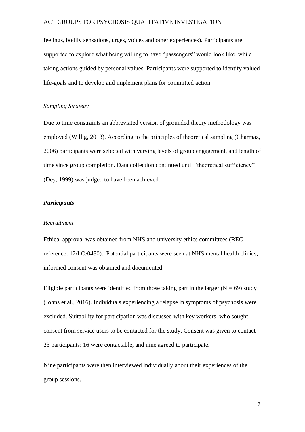feelings, bodily sensations, urges, voices and other experiences). Participants are supported to explore what being willing to have "passengers" would look like, while taking actions guided by personal values. Participants were supported to identify valued life-goals and to develop and implement plans for committed action.

## *Sampling Strategy*

Due to time constraints an abbreviated version of grounded theory methodology was employed (Willig, 2013). According to the principles of theoretical sampling (Charmaz, 2006) participants were selected with varying levels of group engagement, and length of time since group completion. Data collection continued until "theoretical sufficiency" (Dey, 1999) was judged to have been achieved.

#### *Participants*

#### *Recruitment*

Ethical approval was obtained from NHS and university ethics committees (REC reference: 12/LO/0480). Potential participants were seen at NHS mental health clinics; informed consent was obtained and documented.

Eligible participants were identified from those taking part in the larger ( $N = 69$ ) study (Johns et al., 2016). Individuals experiencing a relapse in symptoms of psychosis were excluded. Suitability for participation was discussed with key workers, who sought consent from service users to be contacted for the study. Consent was given to contact 23 participants: 16 were contactable, and nine agreed to participate.

Nine participants were then interviewed individually about their experiences of the group sessions.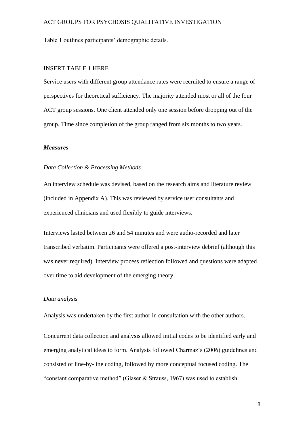Table 1 outlines participants' demographic details.

#### INSERT TABLE 1 HERE

Service users with different group attendance rates were recruited to ensure a range of perspectives for theoretical sufficiency. The majority attended most or all of the four ACT group sessions. One client attended only one session before dropping out of the group. Time since completion of the group ranged from six months to two years.

#### *Measures*

### *Data Collection & Processing Methods*

An interview schedule was devised, based on the research aims and literature review (included in Appendix A). This was reviewed by service user consultants and experienced clinicians and used flexibly to guide interviews.

Interviews lasted between 26 and 54 minutes and were audio-recorded and later transcribed verbatim. Participants were offered a post-interview debrief (although this was never required). Interview process reflection followed and questions were adapted over time to aid development of the emerging theory.

#### *Data analysis*

Analysis was undertaken by the first author in consultation with the other authors.

Concurrent data collection and analysis allowed initial codes to be identified early and emerging analytical ideas to form. Analysis followed Charmaz's (2006) guidelines and consisted of line-by-line coding, followed by more conceptual focused coding. The "constant comparative method" (Glaser  $\&$  Strauss, 1967) was used to establish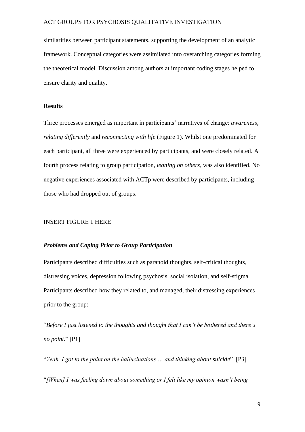similarities between participant statements, supporting the development of an analytic framework. Conceptual categories were assimilated into overarching categories forming the theoretical model. Discussion among authors at important coding stages helped to ensure clarity and quality.

#### **Results**

Three processes emerged as important in participants' narratives of change: *awareness, relating differently* and *reconnecting with life* (Figure 1). Whilst one predominated for each participant, all three were experienced by participants, and were closely related. A fourth process relating to group participation, *leaning on others*, was also identified. No negative experiences associated with ACTp were described by participants, including those who had dropped out of groups.

### INSERT FIGURE 1 HERE

## *Problems and Coping Prior to Group Participation*

Participants described difficulties such as paranoid thoughts, self-critical thoughts, distressing voices, depression following psychosis, social isolation, and self-stigma. Participants described how they related to, and managed, their distressing experiences prior to the group:

"*Before I just listened to the thoughts and thought that I can't be bothered and there's no point.*" [P1]

"*Yeah, I got to the point on the hallucinations … and thinking about suicide*" [P3]

"*[When] I was feeling down about something or I felt like my opinion wasn't being*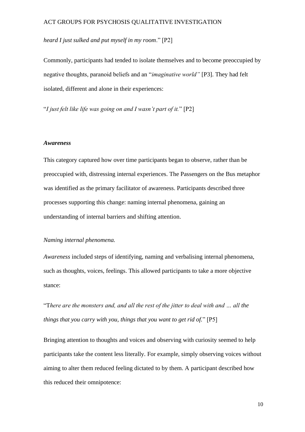## *heard I just sulked and put myself in my room*." [P2]

Commonly, participants had tended to isolate themselves and to become preoccupied by negative thoughts, paranoid beliefs and an "*imaginative world"* [P3]. They had felt isolated, different and alone in their experiences:

"*I just felt like life was going on and I wasn't part of it.*" [P2]

#### *Awareness*

This category captured how over time participants began to observe, rather than be preoccupied with, distressing internal experiences. The Passengers on the Bus metaphor was identified as the primary facilitator of awareness. Participants described three processes supporting this change: naming internal phenomena, gaining an understanding of internal barriers and shifting attention.

#### *Naming internal phenomena.*

*Awareness* included steps of identifying, naming and verbalising internal phenomena, such as thoughts, voices, feelings. This allowed participants to take a more objective stance:

"T*here are the monsters and, and all the rest of the jitter to deal with and … all the things that you carry with you, things that you want to get rid of.*" [P5]

Bringing attention to thoughts and voices and observing with curiosity seemed to help participants take the content less literally. For example, simply observing voices without aiming to alter them reduced feeling dictated to by them. A participant described how this reduced their omnipotence: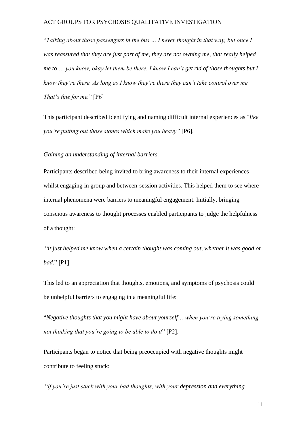"*Talking about those passengers in the bus … I never thought in that way, but once I was reassured that they are just part of me, they are not owning me, that really helped me to … you know, okay let them be there. I know I can't get rid of those thoughts but I know they're there. As long as I know they're there they can't take control over me. That's fine for me.*" [P6]

This participant described identifying and naming difficult internal experiences as "*like you're putting out those stones which make you heavy"* [P6].

*Gaining an understanding of internal barriers.*

Participants described being invited to bring awareness to their internal experiences whilst engaging in group and between-session activities. This helped them to see where internal phenomena were barriers to meaningful engagement. Initially, bringing conscious awareness to thought processes enabled participants to judge the helpfulness of a thought:

"*it just helped me know when a certain thought was coming out, whether it was good or bad.*" [P1]

This led to an appreciation that thoughts, emotions, and symptoms of psychosis could be unhelpful barriers to engaging in a meaningful life:

"*Negative thoughts that you might have about yourself… when you're trying something, not thinking that you're going to be able to do it*" [P2].

Participants began to notice that being preoccupied with negative thoughts might contribute to feeling stuck:

"*if you're just stuck with your bad thoughts, with your depression and everything*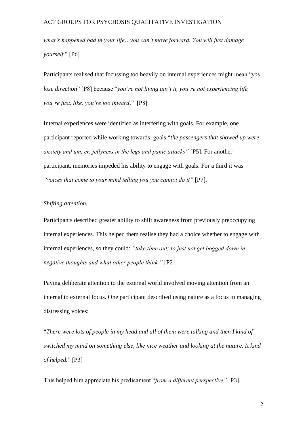*what's happened bad in your life…you can't move forward. You will just damage yourself*." [P6]

Participants realised that focussing too heavily on internal experiences might mean "*you lose direction*" [P8] because "*you're not living ain't it, you're not experiencing life, you're just, like, you're too inward*." [P8]

Internal experiences were identified as interfering with goals. For example, one participant reported while working towards goals "*the passengers that showed up were anxiety and um, er, jellyness in the legs and panic attacks"* [P5]. For another participant, memories impeded his ability to engage with goals. For a third it was *"voices that come to your mind telling you you cannot do it"* [P7].

#### *Shifting attention.*

Participants described greater ability to shift awareness from previously preoccupying internal experiences. This helped them realise they had a choice whether to engage with internal experiences, so they could: *"take time out; to just not get bogged down in negative thoughts and what other people think."* [P2]

Paying deliberate attention to the external world involved moving attention from an internal to external focus. One participant described using nature as a focus in managing distressing voices:

"*There were lots of people in my head and all of them were talking and then I kind of switched my mind on something else, like nice weather and looking at the nature. It kind of helped.*" [P3]

This helped him appreciate his predicament "*from a different perspective"* [P3].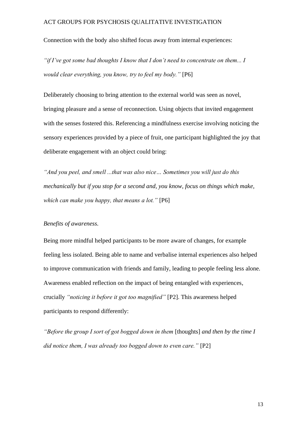Connection with the body also shifted focus away from internal experiences:

*"if I've got some bad thoughts I know that I don't need to concentrate on them... I would clear everything, you know, try to feel my body."* [P6]

Deliberately choosing to bring attention to the external world was seen as novel, bringing pleasure and a sense of reconnection. Using objects that invited engagement with the senses fostered this. Referencing a mindfulness exercise involving noticing the sensory experiences provided by a piece of fruit, one participant highlighted the joy that deliberate engagement with an object could bring:

*"And you peel, and smell ...that was also nice… Sometimes you will just do this mechanically but if you stop for a second and, you know, focus on things which make, which can make you happy, that means a lot."* [P6]

### *Benefits of awareness.*

Being more mindful helped participants to be more aware of changes, for example feeling less isolated. Being able to name and verbalise internal experiences also helped to improve communication with friends and family, leading to people feeling less alone. Awareness enabled reflection on the impact of being entangled with experiences, crucially *"noticing it before it got too magnified"* [P2]. This awareness helped participants to respond differently:

*"Before the group I sort of got bogged down in them* [thoughts] *and then by the time I did notice them, I was already too bogged down to even care."* [P2]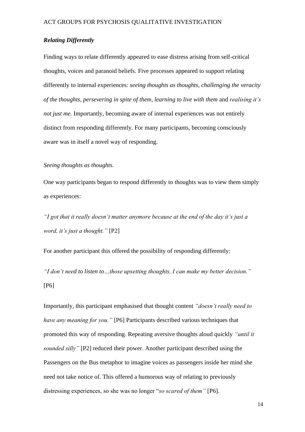## *Relating Differently*

Finding ways to relate differently appeared to ease distress arising from self-critical thoughts, voices and paranoid beliefs. Five processes appeared to support relating differently to internal experiences: *seeing thoughts as thoughts, challenging the veracity of the thoughts, persevering in spite of them, learning to live with them* and *realising it's not just me.* Importantly, becoming aware of internal experiences was not entirely distinct from responding differently. For many participants, becoming consciously aware was in itself a novel way of responding.

# *Seeing thoughts as thoughts.*

One way participants began to respond differently to thoughts was to view them simply as experiences:

*"I got that it really doesn't matter anymore because at the end of the day it's just a word, it's just a thought."* [P2]

For another participant this offered the possibility of responding differently:

*"I don't need to listen to…those upsetting thoughts, I can make my better decision."*  [P6]

Importantly, this participant emphasised that thought content *"doesn't really need to have any meaning for you."* [P6] Participants described various techniques that promoted this way of responding. Repeating aversive thoughts aloud quickly *"until it sounded silly"* [P2] reduced their power. Another participant described using the Passengers on the Bus metaphor to imagine voices as passengers inside her mind she need not take notice of. This offered a humorous way of relating to previously distressing experiences, so she was no longer "*so scared of them"* [P6].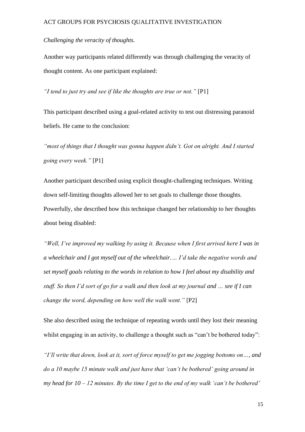*Challenging the veracity of thoughts.*

Another way participants related differently was through challenging the veracity of thought content. As one participant explained:

*"I tend to just try and see if like the thoughts are true or not."* [P1]

This participant described using a goal-related activity to test out distressing paranoid beliefs. He came to the conclusion:

*"most of things that I thought was gonna happen didn't. Got on alright. And I started going every week."* [P1]

Another participant described using explicit thought-challenging techniques. Writing down self-limiting thoughts allowed her to set goals to challenge those thoughts. Powerfully, she described how this technique changed her relationship to her thoughts about being disabled:

*"Well, I've improved my walking by using it. Because when I first arrived here I was in a wheelchair and I got myself out of the wheelchair.… I'd take the negative words and set myself goals relating to the words in relation to how I feel about my disability and stuff. So then I'd sort of go for a walk and then look at my journal and … see if I can change the word, depending on how well the walk went."* [P2]

She also described using the technique of repeating words until they lost their meaning whilst engaging in an activity, to challenge a thought such as "can't be bothered today":

*"I'll write that down, look at it, sort of force myself to get me jogging bottoms on…, and do a 10 maybe 15 minute walk and just have that 'can't be bothered' going around in my head for 10 – 12 minutes. By the time I get to the end of my walk 'can't be bothered'*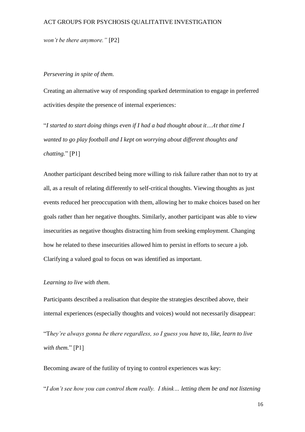*won't be there anymore."* [P2]

#### *Persevering in spite of them.*

Creating an alternative way of responding sparked determination to engage in preferred activities despite the presence of internal experiences:

"*I started to start doing things even if I had a bad thought about it…At that time I wanted to go play football and I kept on worrying about different thoughts and chatting.*" [P1]

Another participant described being more willing to risk failure rather than not to try at all, as a result of relating differently to self-critical thoughts. Viewing thoughts as just events reduced her preoccupation with them, allowing her to make choices based on her goals rather than her negative thoughts. Similarly, another participant was able to view insecurities as negative thoughts distracting him from seeking employment. Changing how he related to these insecurities allowed him to persist in efforts to secure a job. Clarifying a valued goal to focus on was identified as important.

#### *Learning to live with them.*

Participants described a realisation that despite the strategies described above, their internal experiences (especially thoughts and voices) would not necessarily disappear:

"T*hey're always gonna be there regardless, so I guess you have to, like, learn to live with them.*" [P1]

Becoming aware of the futility of trying to control experiences was key:

"*I don't see how you can control them really. I think… letting them be and not listening*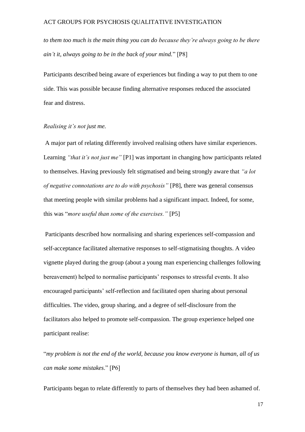*to them too much is the main thing you can do because they're always going to be there ain't it, always going to be in the back of your mind.*" [P8]

Participants described being aware of experiences but finding a way to put them to one side. This was possible because finding alternative responses reduced the associated fear and distress.

#### *Realising it's not just me.*

A major part of relating differently involved realising others have similar experiences. Learning *"that it's not just me"* [P1] was important in changing how participants related to themselves. Having previously felt stigmatised and being strongly aware that *"a lot of negative connotations are to do with psychosis"* [P8], there was general consensus that meeting people with similar problems had a significant impact. Indeed, for some, this was "*more useful than some of the exercises."* [P5]

Participants described how normalising and sharing experiences self-compassion and self-acceptance facilitated alternative responses to self-stigmatising thoughts. A video vignette played during the group (about a young man experiencing challenges following bereavement) helped to normalise participants' responses to stressful events. It also encouraged participants' self-reflection and facilitated open sharing about personal difficulties. The video, group sharing, and a degree of self-disclosure from the facilitators also helped to promote self-compassion. The group experience helped one participant realise:

"*my problem is not the end of the world, because you know everyone is human, all of us can make some mistakes*." [P6]

Participants began to relate differently to parts of themselves they had been ashamed of.

17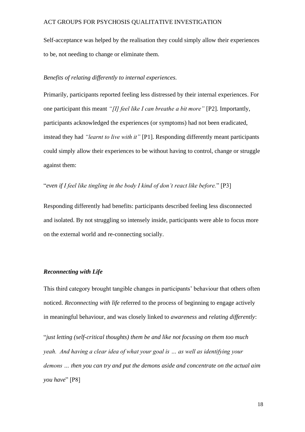Self-acceptance was helped by the realisation they could simply allow their experiences to be, not needing to change or eliminate them.

#### *Benefits of relating differently to internal experiences.*

Primarily, participants reported feeling less distressed by their internal experiences. For one participant this meant *"[I] feel like I can breathe a bit more"* [P2]. Importantly, participants acknowledged the experiences (or symptoms) had not been eradicated, instead they had *"learnt to live with it"* [P1]. Responding differently meant participants could simply allow their experiences to be without having to control, change or struggle against them:

## "*even if I feel like tingling in the body I kind of don't react like before.*" [P3]

Responding differently had benefits: participants described feeling less disconnected and isolated. By not struggling so intensely inside, participants were able to focus more on the external world and re-connecting socially.

#### *Reconnecting with Life*

This third category brought tangible changes in participants' behaviour that others often noticed. *Reconnecting with life* referred to the process of beginning to engage actively in meaningful behaviour, and was closely linked to *awareness* and *relating differently*:

"*just letting (self-critical thoughts) them be and like not focusing on them too much yeah. And having a clear idea of what your goal is … as well as identifying your demons … then you can try and put the demons aside and concentrate on the actual aim you have*" [P8]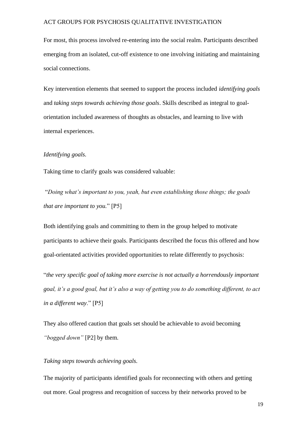For most, this process involved re-entering into the social realm. Participants described emerging from an isolated, cut-off existence to one involving initiating and maintaining social connections.

Key intervention elements that seemed to support the process included *identifying goals* and *taking steps towards achieving those goals*. Skills described as integral to goalorientation included awareness of thoughts as obstacles, and learning to live with internal experiences.

#### *Identifying goals.*

Taking time to clarify goals was considered valuable:

"*Doing what's important to you, yeah, but even establishing those things; the goals that are important to you.*" [P5]

Both identifying goals and committing to them in the group helped to motivate participants to achieve their goals. Participants described the focus this offered and how goal-orientated activities provided opportunities to relate differently to psychosis:

"*the very specific goal of taking more exercise is not actually a horrendously important goal, it's a good goal, but it's also a way of getting you to do something different, to act in a different way*." [P5]

They also offered caution that goals set should be achievable to avoid becoming *"bogged down"* [P2] by them.

#### *Taking steps towards achieving goals.*

The majority of participants identified goals for reconnecting with others and getting out more. Goal progress and recognition of success by their networks proved to be

19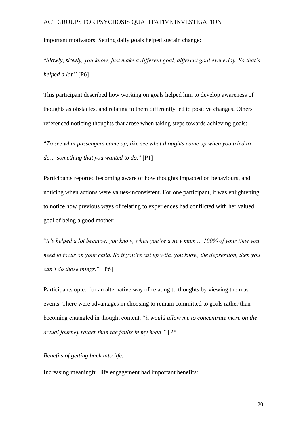important motivators. Setting daily goals helped sustain change:

"*Slowly, slowly, you know, just make a different goal, different goal every day. So that's helped a lot.*" [P6]

This participant described how working on goals helped him to develop awareness of thoughts as obstacles, and relating to them differently led to positive changes. Others referenced noticing thoughts that arose when taking steps towards achieving goals:

"*To see what passengers came up, like see what thoughts came up when you tried to do… something that you wanted to do.*" [P1]

Participants reported becoming aware of how thoughts impacted on behaviours, and noticing when actions were values-inconsistent. For one participant, it was enlightening to notice how previous ways of relating to experiences had conflicted with her valued goal of being a good mother:

"*it's helped a lot because, you know, when you're a new mum ... 100% of your time you need to focus on your child. So if you're cut up with, you know, the depression, then you can't do those things.*" [P6]

Participants opted for an alternative way of relating to thoughts by viewing them as events. There were advantages in choosing to remain committed to goals rather than becoming entangled in thought content: "*it would allow me to concentrate more on the actual journey rather than the faults in my head."* [P8]

#### *Benefits of getting back into life.*

Increasing meaningful life engagement had important benefits: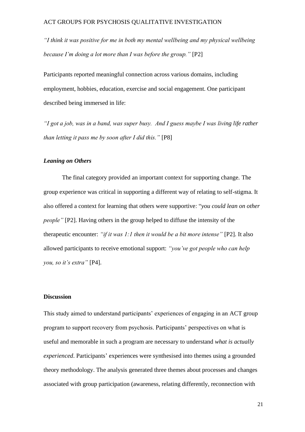*"I think it was positive for me in both my mental wellbeing and my physical wellbeing because I'm doing a lot more than I was before the group."* [P2]

Participants reported meaningful connection across various domains, including employment, hobbies, education, exercise and social engagement. One participant described being immersed in life:

*"I got a job, was in a band, was super busy. And I guess maybe I was living life rather than letting it pass me by soon after I did this."* [P8]

#### *Leaning on Others*

The final category provided an important context for supporting change. The group experience was critical in supporting a different way of relating to self-stigma. It also offered a context for learning that others were supportive: "*you could lean on other people"* [P2]. Having others in the group helped to diffuse the intensity of the therapeutic encounter: *"if it was 1:1 then it would be a bit more intense"* [P2]. It also allowed participants to receive emotional support: *"you've got people who can help you, so it's extra"* [P4].

#### **Discussion**

This study aimed to understand participants' experiences of engaging in an ACT group program to support recovery from psychosis. Participants' perspectives on what is useful and memorable in such a program are necessary to understand *what is actually experienced*. Participants' experiences were synthesised into themes using a grounded theory methodology. The analysis generated three themes about processes and changes associated with group participation (awareness, relating differently, reconnection with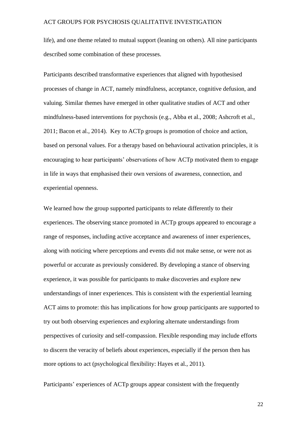life), and one theme related to mutual support (leaning on others). All nine participants described some combination of these processes.

Participants described transformative experiences that aligned with hypothesised processes of change in ACT, namely mindfulness, acceptance, cognitive defusion, and valuing. Similar themes have emerged in other qualitative studies of ACT and other mindfulness-based interventions for psychosis (e.g., Abba et al., 2008; Ashcroft et al., 2011; Bacon et al., 2014). Key to ACTp groups is promotion of choice and action, based on personal values. For a therapy based on behavioural activation principles, it is encouraging to hear participants' observations of how ACTp motivated them to engage in life in ways that emphasised their own versions of awareness, connection, and experiential openness.

We learned how the group supported participants to relate differently to their experiences. The observing stance promoted in ACTp groups appeared to encourage a range of responses, including active acceptance and awareness of inner experiences, along with noticing where perceptions and events did not make sense, or were not as powerful or accurate as previously considered. By developing a stance of observing experience, it was possible for participants to make discoveries and explore new understandings of inner experiences. This is consistent with the experiential learning ACT aims to promote: this has implications for how group participants are supported to try out both observing experiences and exploring alternate understandings from perspectives of curiosity and self-compassion. Flexible responding may include efforts to discern the veracity of beliefs about experiences, especially if the person then has more options to act (psychological flexibility: Hayes et al., 2011).

Participants' experiences of ACTp groups appear consistent with the frequently

22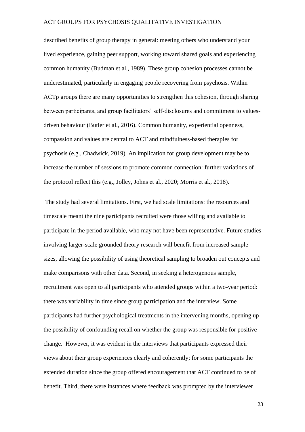described benefits of group therapy in general: meeting others who understand your lived experience, gaining peer support, working toward shared goals and experiencing common humanity (Budman et al., 1989). These group cohesion processes cannot be underestimated, particularly in engaging people recovering from psychosis. Within ACTp groups there are many opportunities to strengthen this cohesion, through sharing between participants, and group facilitators' self-disclosures and commitment to valuesdriven behaviour (Butler et al., 2016). Common humanity, experiential openness, compassion and values are central to ACT and mindfulness-based therapies for psychosis (e.g., Chadwick, 2019). An implication for group development may be to increase the number of sessions to promote common connection: further variations of the protocol reflect this (e.g., Jolley, Johns et al., 2020; Morris et al., 2018).

The study had several limitations. First, we had scale limitations: the resources and timescale meant the nine participants recruited were those willing and available to participate in the period available, who may not have been representative. Future studies involving larger-scale grounded theory research will benefit from increased sample sizes, allowing the possibility of using theoretical sampling to broaden out concepts and make comparisons with other data. Second, in seeking a heterogenous sample, recruitment was open to all participants who attended groups within a two-year period: there was variability in time since group participation and the interview. Some participants had further psychological treatments in the intervening months, opening up the possibility of confounding recall on whether the group was responsible for positive change. However, it was evident in the interviews that participants expressed their views about their group experiences clearly and coherently; for some participants the extended duration since the group offered encouragement that ACT continued to be of benefit. Third, there were instances where feedback was prompted by the interviewer

23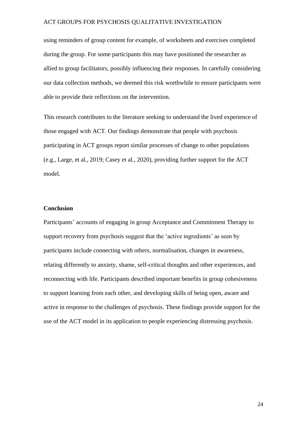using reminders of group content for example, of worksheets and exercises completed during the group. For some participants this may have positioned the researcher as allied to group facilitators, possibly influencing their responses. In carefully considering our data collection methods, we deemed this risk worthwhile to ensure participants were able to provide their reflections on the intervention.

This research contributes to the literature seeking to understand the lived experience of those engaged with ACT. Our findings demonstrate that people with psychosis participating in ACT groups report similar processes of change to other populations (e.g., Large, et al., 2019; Casey et al., 2020), providing further support for the ACT model.

#### **Conclusion**

Participants' accounts of engaging in group Acceptance and Commitment Therapy to support recovery from psychosis suggest that the 'active ingredients' as seen by participants include connecting with others, normalisation, changes in awareness, relating differently to anxiety, shame, self-critical thoughts and other experiences, and reconnecting with life. Participants described important benefits in group cohesiveness to support learning from each other, and developing skills of being open, aware and active in response to the challenges of psychosis. These findings provide support for the use of the ACT model in its application to people experiencing distressing psychosis.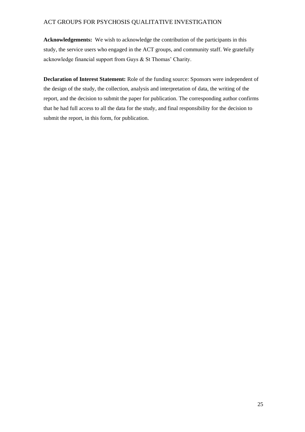**Acknowledgements:** We wish to acknowledge the contribution of the participants in this study, the service users who engaged in the ACT groups, and community staff. We gratefully acknowledge financial support from Guys & St Thomas' Charity.

**Declaration of Interest Statement:** Role of the funding source: Sponsors were independent of the design of the study, the collection, analysis and interpretation of data, the writing of the report, and the decision to submit the paper for publication. The corresponding author confirms that he had full access to all the data for the study, and final responsibility for the decision to submit the report, in this form, for publication.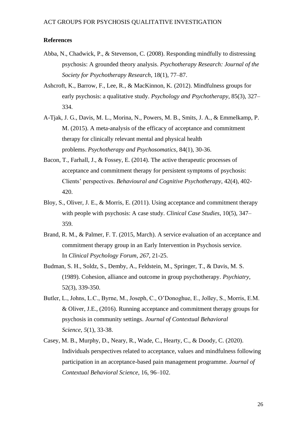#### **References**

- Abba, N., Chadwick, P., & Stevenson, C. (2008). Responding mindfully to distressing psychosis: A grounded theory analysis. *Psychotherapy Research: Journal of the Society for Psychotherapy Research*, 18(1), 77–87.
- Ashcroft, K., Barrow, F., Lee, R., & MacKinnon, K. (2012). Mindfulness groups for early psychosis: a qualitative study. *Psychology and Psychotherapy*, 85(3), 327– 334.
- A-Tjak, J. G., Davis, M. L., Morina, N., Powers, M. B., Smits, J. A., & Emmelkamp, P. M. (2015). A meta-analysis of the efficacy of acceptance and commitment therapy for clinically relevant mental and physical health problems. *Psychotherapy and Psychosomatics*, 84(1), 30-36.
- Bacon, T., Farhall, J., & Fossey, E. (2014). The active therapeutic processes of acceptance and commitment therapy for persistent symptoms of psychosis: Clients' perspectives. *Behavioural and Cognitive Psychotherapy*, 42(4), 402- 420.
- Bloy, S., Oliver, J. E., & Morris, E. (2011). Using acceptance and commitment therapy with people with psychosis: A case study. *Clinical Case Studies*, 10(5), 347– 359.
- Brand, R. M., & Palmer, F. T. (2015, March). A service evaluation of an acceptance and commitment therapy group in an Early Intervention in Psychosis service. In *Clinical Psychology Forum*, *267*, 21-25.
- Budman, S. H., Soldz, S., Demby, A., Feldstein, M., Springer, T., & Davis, M. S. (1989). Cohesion, alliance and outcome in group psychotherapy. *Psychiatry*, 52(3), 339-350.
- Butler, L., Johns, L.C., Byrne, M., Joseph, C., O'Donoghue, E., Jolley, S., Morris, E.M. & Oliver, J.E., (2016). Running acceptance and commitment therapy groups for psychosis in community settings. *Journal of Contextual Behavioral Science*, *5*(1), 33-38.
- Casey, M. B., Murphy, D., Neary, R., Wade, C., Hearty, C., & Doody, C. (2020). Individuals perspectives related to acceptance, values and mindfulness following participation in an acceptance-based pain management programme. *Journal of Contextual Behavioral Science*, 16, 96–102.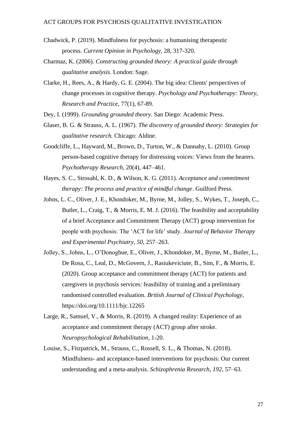- Chadwick, P. (2019). Mindfulness for psychosis: a humanising therapeutic process. *Current Opinion in Psychology*, 28, 317-320.
- Charmaz, K. (2006). *Constructing grounded theory: A practical guide through qualitative analysis*. London: Sage.
- Clarke, H., Rees, A., & Hardy, G. E. (2004). The big idea: Clients' perspectives of change processes in cognitive therapy. *Psychology and Psychotherapy: Theory, Research and Practice*, 77(1), 67-89.
- Dey, I. (1999). *Grounding grounded theory.* San Diego: Academic Press.
- Glaser, B. G. & Strauss, A. L. (1967). *The discovery of grounded theory: Strategies for qualitative research.* Chicago: Aldine.
- Goodcliffe, L., Hayward, M., Brown, D., Turton, W., & Dannahy, L. (2010). Group person-based cognitive therapy for distressing voices: Views from the hearers. *Psychotherapy Research*, 20(4), 447–461.
- Hayes, S. C., Strosahl, K. D., & Wilson, K. G. (2011). *Acceptance and commitment therapy: The process and practice of mindful change*. Guilford Press.
- Johns, L. C., Oliver, J. E., Khondoker, M., Byrne, M., Jolley, S., Wykes, T., Joseph, C., Butler, L., Craig, T., & Morris, E. M. J. (2016). The feasibility and acceptability of a brief Acceptance and Commitment Therapy (ACT) group intervention for people with psychosis: The 'ACT for life' study. *Journal of Behavior Therapy and Experimental Psychiatry*, *50*, 257–263.
- Jolley, S., Johns, L., O'Donoghue, E., Oliver, J., Khondoker, M., Byrne, M., Butler, L., De Rosa, C., Leal, D., McGovern, J., Rasiukeviciute, B., Sim, F., & Morris, E. (2020). Group acceptance and commitment therapy (ACT) for patients and caregivers in psychosis services: feasibility of training and a preliminary randomised controlled evaluation. *British Journal of Clinical Psychology,*  https://doi.org/10.1111/bjc.12265
- Large, R., Samuel, V., & Morris, R. (2019). A changed reality: Experience of an acceptance and commitment therapy (ACT) group after stroke. *Neuropsychological Rehabilitation*, 1-20.
- Louise, S., Fitzpatrick, M., Strauss, C., Rossell, S. L., & Thomas, N. (2018). Mindfulness- and acceptance-based interventions for psychosis: Our current understanding and a meta-analysis. *Schizophrenia Research*, *192*, 57–63.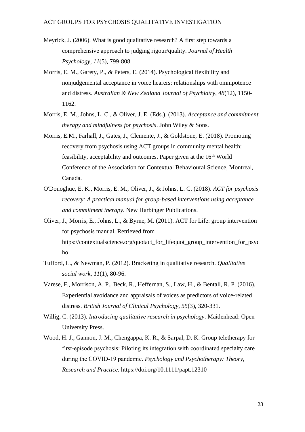- Meyrick, J. (2006). What is good qualitative research? A first step towards a comprehensive approach to judging rigour/quality. *Journal of Health Psychology*, *11*(5), 799-808.
- Morris, E. M., Garety, P., & Peters, E. (2014). Psychological flexibility and nonjudgemental acceptance in voice hearers: relationships with omnipotence and distress. *Australian & New Zealand Journal of Psychiatry*, *48*(12), 1150- 1162.
- Morris, E. M., Johns, L. C., & Oliver, J. E. (Eds.). (2013). *Acceptance and commitment therapy and mindfulness for psychosis*. John Wiley & Sons.
- Morris, E.M., Farhall, J., Gates, J., Clemente, J., & Goldstone, E. (2018). Promoting recovery from psychosis using ACT groups in community mental health: feasibility, acceptability and outcomes. Paper given at the 16<sup>th</sup> World Conference of the Association for Contextual Behavioural Science, Montreal, Canada.
- O'Donoghue, E. K., Morris, E. M., Oliver, J., & Johns, L. C. (2018). *ACT for psychosis recovery: A practical manual for group-based interventions using acceptance and commitment therapy*. New Harbinger Publications.
- Oliver, J., Morris, E., Johns, L., & Byrne, M. (2011). ACT for Life: group intervention for psychosis manual. Retrieved from https://contextualscience.org/quotact\_for\_lifequot\_group\_intervention\_for\_psyc ho
- Tufford, L., & Newman, P. (2012). Bracketing in qualitative research. *Qualitative social work*, *11*(1), 80-96.
- Varese, F., Morrison, A. P., Beck, R., Heffernan, S., Law, H., & Bentall, R. P. (2016). Experiential avoidance and appraisals of voices as predictors of voice-related distress. *British Journal of Clinical Psychology*, *55*(3), 320-331.
- Willig, C. (2013). *Introducing qualitative research in psychology*. Maidenhead: Open University Press.
- Wood, H. J., Gannon, J. M., Chengappa, K. R., & Sarpal, D. K. Group teletherapy for first‐episode psychosis: Piloting its integration with coordinated specialty care during the COVID‐19 pandemic. *Psychology and Psychotherapy: Theory, Research and Practice.* https://doi.org/10.1111/papt.12310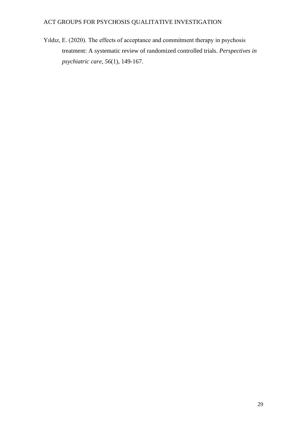Yıldız, E. (2020). The effects of acceptance and commitment therapy in psychosis treatment: A systematic review of randomized controlled trials. *Perspectives in psychiatric care*, *56*(1), 149-167.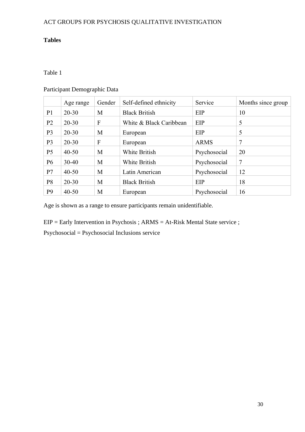# **Tables**

# Table 1

# Participant Demographic Data

|                | Age range | Gender | Self-defined ethnicity  | Service      | Months since group |
|----------------|-----------|--------|-------------------------|--------------|--------------------|
| P <sub>1</sub> | $20 - 30$ | M      | <b>Black British</b>    | EIP          | 10                 |
| P <sub>2</sub> | $20 - 30$ | F      | White & Black Caribbean | EIP          | 5                  |
| P <sub>3</sub> | $20 - 30$ | M      | European                | EIP          | 5                  |
| P <sub>3</sub> | $20 - 30$ | F      | European                | <b>ARMS</b>  | 7                  |
| P <sub>5</sub> | $40 - 50$ | M      | White British           | Psychosocial | 20                 |
| P <sub>6</sub> | $30-40$   | M      | White British           | Psychosocial | 7                  |
| P7             | $40 - 50$ | M      | Latin American          | Psychosocial | 12                 |
| P <sub>8</sub> | $20 - 30$ | M      | <b>Black British</b>    | EIP          | 18                 |
| P <sub>9</sub> | $40 - 50$ | М      | European                | Psychosocial | 16                 |

Age is shown as a range to ensure participants remain unidentifiable.

EIP = Early Intervention in Psychosis ; ARMS = At-Risk Mental State service ;

Psychosocial = Psychosocial Inclusions service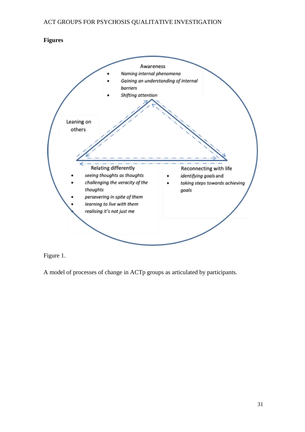# **Figures**



# Figure 1.

A model of processes of change in ACTp groups as articulated by participants.